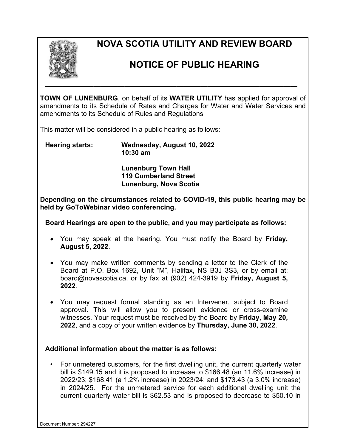

## **NOVA SCOTIA UTILITY AND REVIEW BOARD**

## **NOTICE OF PUBLIC HEARING**

**TOWN OF LUNENBURG**, on behalf of its **WATER UTILITY** has applied for approval of amendments to its Schedule of Rates and Charges for Water and Water Services and amendments to its Schedule of Rules and Regulations

**\_\_\_\_\_\_\_\_\_\_\_\_\_\_\_\_\_\_\_\_\_\_\_\_\_\_\_\_\_\_\_\_\_\_\_\_\_\_\_\_\_\_\_\_\_\_\_\_\_\_\_\_\_\_\_\_\_\_\_\_\_\_\_\_\_\_\_\_\_\_\_\_\_** 

This matter will be considered in a public hearing as follows:

**Hearing starts: Wednesday, August 10, 2022 10:30 am**

> **Lunenburg Town Hall 119 Cumberland Street Lunenburg, Nova Scotia**

**Depending on the circumstances related to COVID-19, this public hearing may be held by GoToWebinar video conferencing.**

**Board Hearings are open to the public, and you may participate as follows:**

- You may speak at the hearing. You must notify the Board by **Friday, August 5, 2022**.
- You may make written comments by sending a letter to the Clerk of the Board at P.O. Box 1692, Unit "M", Halifax, NS B3J 3S3, or by email at: board@novascotia.ca, or by fax at (902) 424-3919 by **Friday, August 5, 2022**.
- You may request formal standing as an Intervener, subject to Board approval. This will allow you to present evidence or cross-examine witnesses. Your request must be received by the Board by **Friday, May 20, 2022**, and a copy of your written evidence by **Thursday, June 30, 2022**.

## **Additional information about the matter is as follows:**

• For unmetered customers, for the first dwelling unit, the current quarterly water bill is \$149.15 and it is proposed to increase to \$166.48 (an 11.6% increase) in 2022/23; \$168.41 (a 1.2% increase) in 2023/24; and \$173.43 (a 3.0% increase) in 2024/25. For the unmetered service for each additional dwelling unit the current quarterly water bill is \$62.53 and is proposed to decrease to \$50.10 in